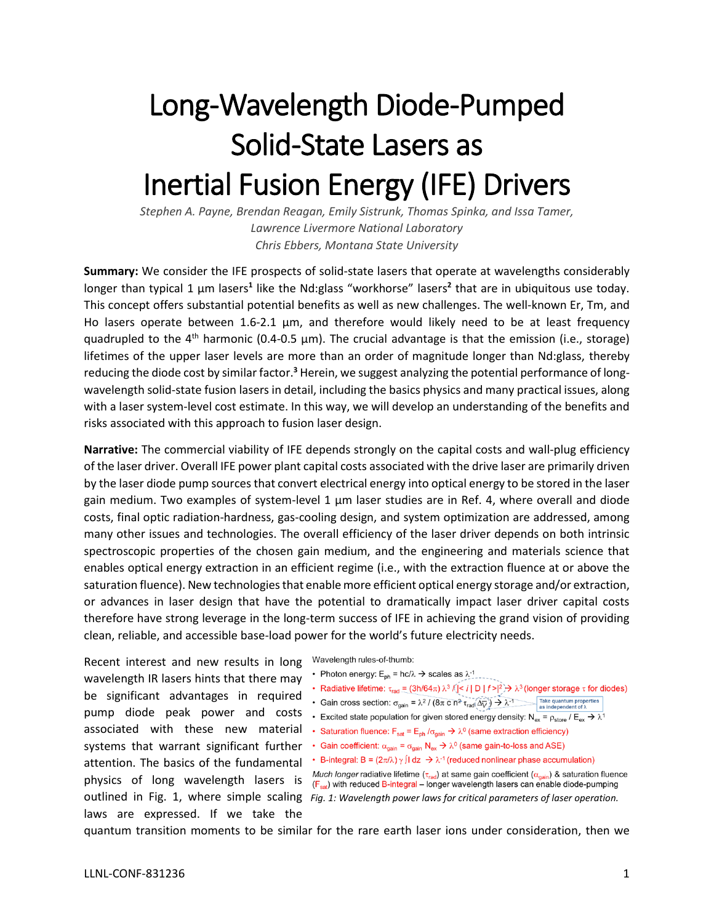## Long-Wavelength Diode-Pumped Solid-State Lasers as Inertial Fusion Energy (IFE) Drivers

*Stephen A. Payne, Brendan Reagan, Emily Sistrunk, Thomas Spinka, and Issa Tamer, Lawrence Livermore National Laboratory Chris Ebbers, Montana State University*

**Summary:** We consider the IFE prospects of solid-state lasers that operate at wavelengths considerably longer than typical 1 µm lasers<sup>1</sup> like the Nd:glass "workhorse" lasers<sup>2</sup> that are in ubiquitous use today. This concept offers substantial potential benefits as well as new challenges. The well-known Er, Tm, and Ho lasers operate between 1.6-2.1 µm, and therefore would likely need to be at least frequency quadrupled to the 4<sup>th</sup> harmonic (0.4-0.5  $\mu$ m). The crucial advantage is that the emission (i.e., storage) lifetimes of the upper laser levels are more than an order of magnitude longer than Nd:glass, thereby reducing the diode cost by similar factor.**<sup>3</sup>** Herein, we suggest analyzing the potential performance of longwavelength solid-state fusion lasers in detail, including the basics physics and many practical issues, along with a laser system-level cost estimate. In this way, we will develop an understanding of the benefits and risks associated with this approach to fusion laser design.

**Narrative:** The commercial viability of IFE depends strongly on the capital costs and wall-plug efficiency of the laser driver. Overall IFE power plant capital costs associated with the drive laser are primarily driven by the laser diode pump sources that convert electrical energy into optical energy to be stored in the laser gain medium. Two examples of system-level 1  $\mu$ m laser studies are in Ref. 4, where overall and diode costs, final optic radiation-hardness, gas-cooling design, and system optimization are addressed, among many other issues and technologies. The overall efficiency of the laser driver depends on both intrinsic spectroscopic properties of the chosen gain medium, and the engineering and materials science that enables optical energy extraction in an efficient regime (i.e., with the extraction fluence at or above the saturation fluence). New technologies that enable more efficient optical energy storage and/or extraction, or advances in laser design that have the potential to dramatically impact laser driver capital costs therefore have strong leverage in the long-term success of IFE in achieving the grand vision of providing clean, reliable, and accessible base-load power for the world's future electricity needs.

Recent interest and new results in long wavelength IR lasers hints that there may be significant advantages in required pump diode peak power and costs associated with these new material systems that warrant significant further attention. The basics of the fundamental physics of long wavelength lasers is laws are expressed. If we take the Wavelength rules-of-thumb:

- Photon energy:  $E_{\text{ph}}$  = hc/ $\lambda \rightarrow$  scales as  $\lambda^{-1}$
- Radiative lifetime:  $\tau_{rad} = (3h/64\pi) \lambda^3$  /( $\leq i | D | f > |^2$ )  $\rightarrow \lambda^3$  (longer storage  $\tau$  for diodes)
- Gain cross section:  $\sigma_{\text{gain}} = \lambda^2 / (8\pi \text{ C} \text{ n}^2 \tau_{\text{rad}} (\Delta \overline{\psi})) \rightarrow \lambda^{-1}$  Take quantum properties
- Excited state population for given stored energy density:  $N_{ex} = \rho_{store} / E_{ex} \rightarrow \lambda$ <sup>1</sup>
- Saturation fluence:  $F_{sat} = E_{ph}/\sigma_{gain} \rightarrow \lambda^0$  (same extraction efficiency)
- Gain coefficient:  $\alpha_{\text{gain}} = \sigma_{\text{gain}} N_{\text{ex}} \rightarrow \lambda^0$  (same gain-to-loss and ASE)
- B-integral: B =  $(2\pi/\lambda)\gamma$   $\int$ I dz  $\rightarrow \lambda^{-1}$  (reduced nonlinear phase accumulation)
- Much longer radiative lifetime ( $\tau_{rad}$ ) at same gain coefficient ( $\alpha_{gain}$ ) & saturation fluence  $(F_{sat})$  with reduced B-integral – longer wavelength lasers can enable diode-pumping outlined in Fig. 1, where simple scaling *Fig. 1: Wavelength power laws for critical parameters of laser operation.*

quantum transition moments to be similar for the rare earth laser ions under consideration, then we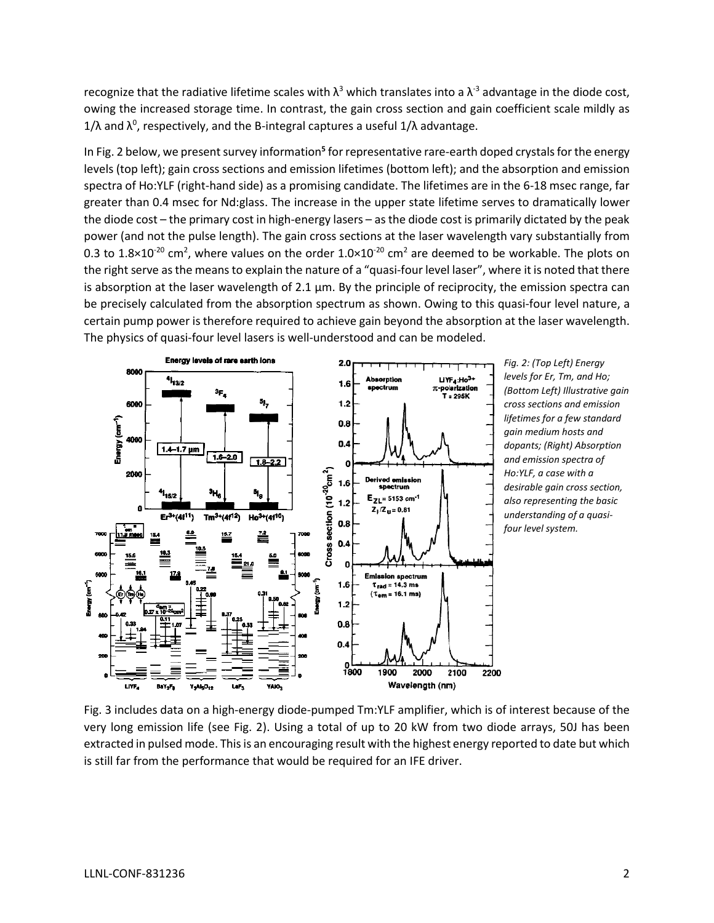recognize that the radiative lifetime scales with  $\lambda^3$  which translates into a  $\lambda^3$  advantage in the diode cost, owing the increased storage time. In contrast, the gain cross section and gain coefficient scale mildly as 1/λ and  $\lambda^0$ , respectively, and the B-integral captures a useful 1/λ advantage.

In Fig. 2 below, we present survey information<sup>5</sup> for representative rare-earth doped crystals for the energy levels (top left); gain cross sections and emission lifetimes (bottom left); and the absorption and emission spectra of Ho:YLF (right-hand side) as a promising candidate. The lifetimes are in the 6-18 msec range, far greater than 0.4 msec for Nd:glass. The increase in the upper state lifetime serves to dramatically lower the diode cost – the primary cost in high-energy lasers – as the diode cost is primarily dictated by the peak power (and not the pulse length). The gain cross sections at the laser wavelength vary substantially from 0.3 to 1.8×10<sup>-20</sup> cm<sup>2</sup>, where values on the order 1.0×10<sup>-20</sup> cm<sup>2</sup> are deemed to be workable. The plots on the right serve as the means to explain the nature of a "quasi-four level laser", where it is noted that there is absorption at the laser wavelength of 2.1  $\mu$ m. By the principle of reciprocity, the emission spectra can be precisely calculated from the absorption spectrum as shown. Owing to this quasi-four level nature, a certain pump power is therefore required to achieve gain beyond the absorption at the laser wavelength. The physics of quasi-four level lasers is well-understood and can be modeled.



*Fig. 2: (Top Left) Energy levels for Er, Tm, and Ho; (Bottom Left) Illustrative gain cross sections and emission lifetimes for a few standard gain medium hosts and dopants; (Right) Absorption and emission spectra of Ho:YLF, a case with a desirable gain cross section, also representing the basic understanding of a quasifour level system.*

Fig. 3 includes data on a high-energy diode-pumped Tm:YLF amplifier, which is of interest because of the very long emission life (see Fig. 2). Using a total of up to 20 kW from two diode arrays, 50J has been extracted in pulsed mode. This is an encouraging result with the highest energy reported to date but which is still far from the performance that would be required for an IFE driver.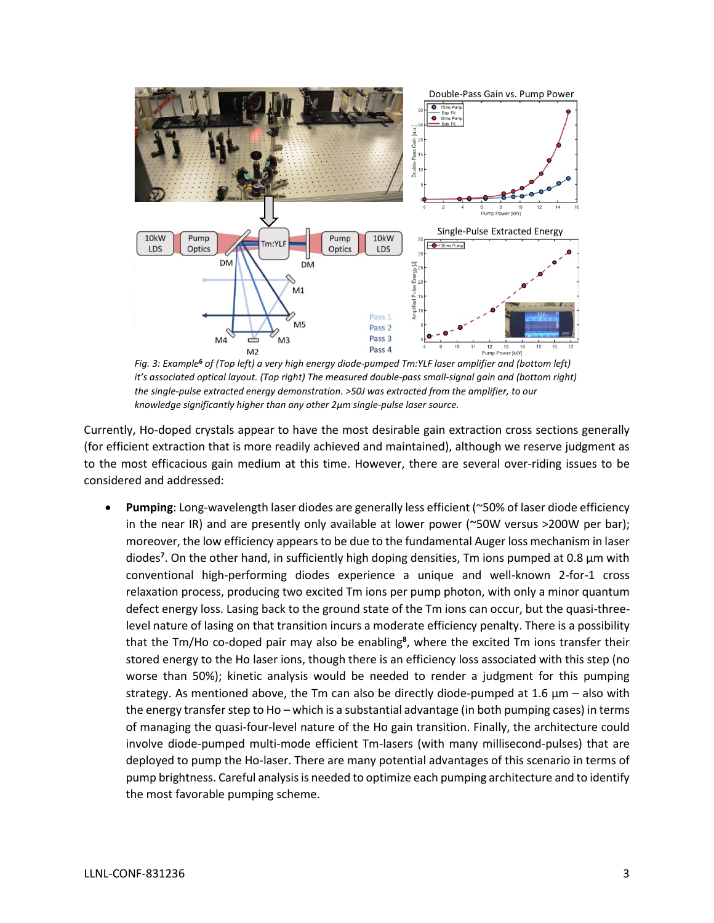

*Fig. 3: Example***<sup>6</sup>** *of (Top left) a very high energy diode-pumped Tm:YLF laser amplifier and (bottom left) it's associated optical layout. (Top right) The measured double-pass small-signal gain and (bottom right) the single-pulse extracted energy demonstration. >50J was extracted from the amplifier, to our knowledge significantly higher than any other 2µm single-pulse laser source.*

Currently, Ho-doped crystals appear to have the most desirable gain extraction cross sections generally (for efficient extraction that is more readily achieved and maintained), although we reserve judgment as to the most efficacious gain medium at this time. However, there are several over-riding issues to be considered and addressed:

• **Pumping**: Long-wavelength laser diodes are generally less efficient (~50% of laser diode efficiency in the near IR) and are presently only available at lower power (~50W versus >200W per bar); moreover, the low efficiency appears to be due to the fundamental Auger loss mechanism in laser diodes**<sup>7</sup>** . On the other hand, in sufficiently high doping densities, Tm ions pumped at 0.8 µm with conventional high-performing diodes experience a unique and well-known 2-for-1 cross relaxation process, producing two excited Tm ions per pump photon, with only a minor quantum defect energy loss. Lasing back to the ground state of the Tm ions can occur, but the quasi-threelevel nature of lasing on that transition incurs a moderate efficiency penalty. There is a possibility that the Tm/Ho co-doped pair may also be enabling**<sup>8</sup>** , where the excited Tm ions transfer their stored energy to the Ho laser ions, though there is an efficiency loss associated with this step (no worse than 50%); kinetic analysis would be needed to render a judgment for this pumping strategy. As mentioned above, the Tm can also be directly diode-pumped at 1.6  $\mu$ m – also with the energy transfer step to Ho – which is a substantial advantage (in both pumping cases) in terms of managing the quasi-four-level nature of the Ho gain transition. Finally, the architecture could involve diode-pumped multi-mode efficient Tm-lasers (with many millisecond-pulses) that are deployed to pump the Ho-laser. There are many potential advantages of this scenario in terms of pump brightness. Careful analysis is needed to optimize each pumping architecture and to identify the most favorable pumping scheme.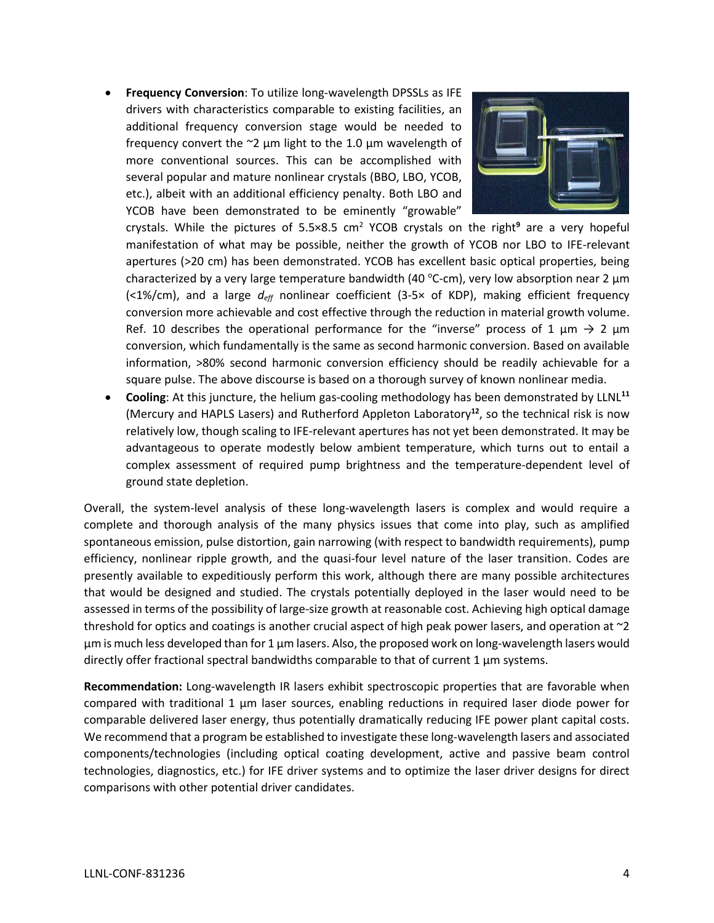• **Frequency Conversion**: To utilize long-wavelength DPSSLs as IFE drivers with characteristics comparable to existing facilities, an additional frequency conversion stage would be needed to frequency convert the  $\approx$ 2 µm light to the 1.0 µm wavelength of more conventional sources. This can be accomplished with several popular and mature nonlinear crystals (BBO, LBO, YCOB, etc.), albeit with an additional efficiency penalty. Both LBO and YCOB have been demonstrated to be eminently "growable"



crystals. While the pictures of 5.5×8.5 cm<sup>2</sup> YCOB crystals on the right**<sup>9</sup>** are a very hopeful manifestation of what may be possible, neither the growth of YCOB nor LBO to IFE-relevant apertures (>20 cm) has been demonstrated. YCOB has excellent basic optical properties, being characterized by a very large temperature bandwidth (40 °C-cm), very low absorption near 2  $\mu$ m (<1%/cm), and a large *deff* nonlinear coefficient (3-5× of KDP), making efficient frequency conversion more achievable and cost effective through the reduction in material growth volume. Ref. 10 describes the operational performance for the "inverse" process of 1  $\mu$ m  $\rightarrow$  2  $\mu$ m conversion, which fundamentally is the same as second harmonic conversion. Based on available information, >80% second harmonic conversion efficiency should be readily achievable for a square pulse. The above discourse is based on a thorough survey of known nonlinear media.

• **Cooling**: At this juncture, the helium gas-cooling methodology has been demonstrated by LLNL**<sup>11</sup>** (Mercury and HAPLS Lasers) and Rutherford Appleton Laboratory**<sup>12</sup>** , so the technical risk is now relatively low, though scaling to IFE-relevant apertures has not yet been demonstrated. It may be advantageous to operate modestly below ambient temperature, which turns out to entail a complex assessment of required pump brightness and the temperature-dependent level of ground state depletion.

Overall, the system-level analysis of these long-wavelength lasers is complex and would require a complete and thorough analysis of the many physics issues that come into play, such as amplified spontaneous emission, pulse distortion, gain narrowing (with respect to bandwidth requirements), pump efficiency, nonlinear ripple growth, and the quasi-four level nature of the laser transition. Codes are presently available to expeditiously perform this work, although there are many possible architectures that would be designed and studied. The crystals potentially deployed in the laser would need to be assessed in terms of the possibility of large-size growth at reasonable cost. Achieving high optical damage threshold for optics and coatings is another crucial aspect of high peak power lasers, and operation at  $\sim$ 2 µm is much less developed than for 1 µm lasers. Also, the proposed work on long-wavelength lasers would directly offer fractional spectral bandwidths comparable to that of current 1 µm systems.

**Recommendation:** Long-wavelength IR lasers exhibit spectroscopic properties that are favorable when compared with traditional 1 µm laser sources, enabling reductions in required laser diode power for comparable delivered laser energy, thus potentially dramatically reducing IFE power plant capital costs. We recommend that a program be established to investigate these long-wavelength lasers and associated components/technologies (including optical coating development, active and passive beam control technologies, diagnostics, etc.) for IFE driver systems and to optimize the laser driver designs for direct comparisons with other potential driver candidates.